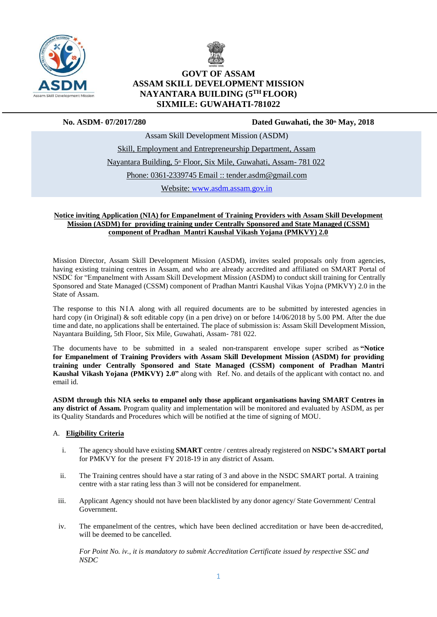



# **GOVT OF ASSAM ASSAM SKILL DEVELOPMENT MISSION NAYANTARA BUILDING (5 TH FLOOR) SIXMILE: GUWAHATI-781022**

**No. ASDM-** 07/2017/280 **Dated Guwahati, the 30<sup>***th***</sup> May, 2018</sup>** 

Assam Skill Development Mission (ASDM) Skill, Employment and Entrepreneurship Department, Assam Nayantara Building, 5<sup>th</sup> Floor, Six Mile, Guwahati, Assam- 781 022 Phone: [0361-2339745](mailto:Phone:%200361-2339745%20Email) Email :: [tender.asdm@gmail.com](mailto:%20tender.asdm@gmail.com)  Website: [www.asdm.assam.gov.in](http://www.asdm.assam.gov.in/) 

## **Notice inviting Application (NIA) for Empanelment of Training Providers with Assam Skill Development Mission (ASDM) for providing training under Centrally Sponsored and State Managed (CSSM) component of Pradhan Mantri Kaushal Vikash Yojana (PMKVY) 2.0**

Mission Director, Assam Skill Development Mission (ASDM), invites sealed proposals only from agencies, having existing training centres in Assam, and who are already accredited and affiliated on SMART Portal of NSDC for "Empanelment with Assam Skill Development Mission (ASDM) to conduct skill training for Centrally Sponsored and State Managed (CSSM) component of Pradhan Mantri Kaushal Vikas Yojna (PMKVY) 2.0 in the State of Assam.

The response to this NIA along with all required documents are to be submitted by interested agencies in hard copy (in Original) & soft editable copy (in a pen drive) on or before  $14/06/2018$  by 5.00 PM. After the due time and date, no applications shall be entertained. The place of submission is: Assam Skill Development Mission, Nayantara Building, 5th Floor, Six Mile, Guwahati, Assam- 781 022.

The documents have to be submitted in a sealed non-transparent envelope super scribed as **"Notice for Empanelment of Training Providers with Assam Skill Development Mission (ASDM) for providing training under Centrally Sponsored and State Managed (CSSM) component of Pradhan Mantri Kaushal Vikash Yojana (PMKVY) 2.0"** along with Ref. No. and details of the applicant with contact no. and email id.

**ASDM through this NIA seeks to empanel only those applicant organisations having SMART Centres in any district of Assam.** Program quality and implementation will be monitored and evaluated by ASDM, as per its Quality Standards and Procedures which will be notified at the time of signing of MOU.

## A. **Eligibility Criteria**

- i. The agency should have existing **SMART** centre / centres already registered on **NSDC's SMART portal** for PMKVY for the present FY 2018-19 in any district of Assam.
- ii. The Training centres should have a star rating of 3 and above in the NSDC SMART portal. A training centre with a star rating less than 3 will not be considered for empanelment.
- iii. Applicant Agency should not have been blacklisted by any donor agency/ State Government/ Central Government.
- iv. The empanelment of the centres, which have been declined accreditation or have been de-accredited, will be deemed to be cancelled.

*For Point No. iv., it is mandatory to submit Accreditation Certificate issued by respective SSC and NSDC*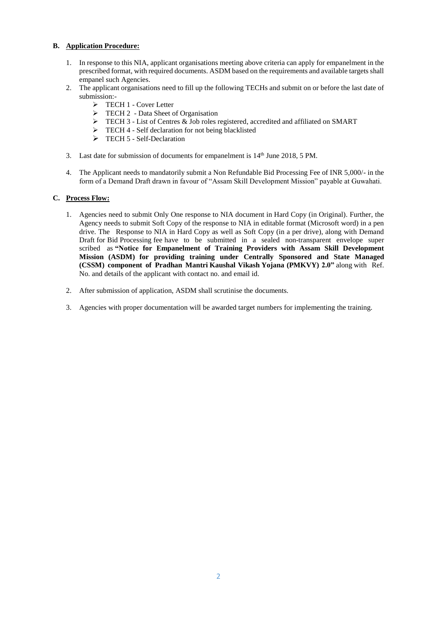## **B. Application Procedure:**

- 1. In response to this NIA, applicant organisations meeting above criteria can apply for empanelment in the prescribed format, with required documents. ASDM based on the requirements and available targets shall empanel such Agencies.
- 2. The applicant organisations need to fill up the following TECHs and submit on or before the last date of submission:-
	- > TECH 1 Cover Letter
	- $\triangleright$  TECH 2 Data Sheet of Organisation
	- TECH 3 List of Centres & Job roles registered, accredited and affiliated on SMART
	- > TECH 4 Self declaration for not being blacklisted
	- $\triangleright$  TECH 5 Self-Declaration
- 3. Last date for submission of documents for empanelment is  $14<sup>th</sup>$  June 2018, 5 PM.
- 4. The Applicant needs to mandatorily submit a Non Refundable Bid Processing Fee of INR 5,000/- in the form of a Demand Draft drawn in favour of "Assam Skill Development Mission" payable at Guwahati.

## **C. Process Flow:**

- 1. Agencies need to submit Only One response to NIA document in Hard Copy (in Original). Further, the Agency needs to submit Soft Copy of the response to NIA in editable format (Microsoft word) in a pen drive. The Response to NIA in Hard Copy as well as Soft Copy (in a per drive), along with Demand Draft for Bid Processing fee have to be submitted in a sealed non-transparent envelope super scribed as **"Notice for Empanelment of Training Providers with Assam Skill Development Mission (ASDM) for providing training under Centrally Sponsored and State Managed (CSSM) component of Pradhan Mantri Kaushal Vikash Yojana (PMKVY) 2.0"** along with Ref. No. and details of the applicant with contact no. and email id.
- 2. After submission of application, ASDM shall scrutinise the documents.
- 3. Agencies with proper documentation will be awarded target numbers for implementing the training.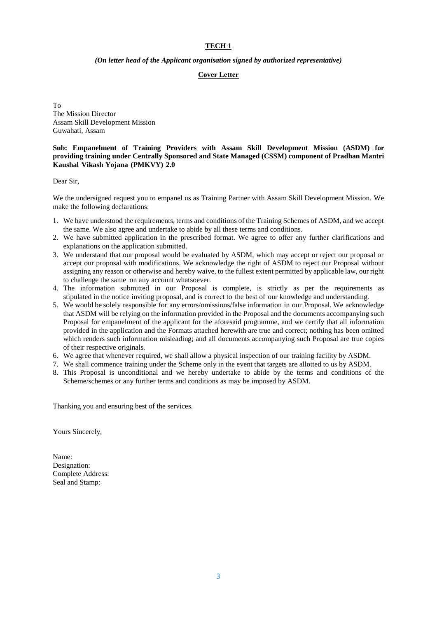### **TECH 1**

#### *(On letter head of the Applicant organisation signed by authorized representative)*

#### **Cover Letter**

To The Mission Director Assam Skill Development Mission Guwahati, Assam

#### **Sub: Empanelment of Training Providers with Assam Skill Development Mission (ASDM) for providing training under Centrally Sponsored and State Managed (CSSM) component of Pradhan Mantri Kaushal Vikash Yojana (PMKVY) 2.0**

Dear Sir,

We the undersigned request you to empanel us as Training Partner with Assam Skill Development Mission. We make the following declarations:

- 1. We have understood the requirements, terms and conditions of the Training Schemes of ASDM, and we accept the same. We also agree and undertake to abide by all these terms and conditions.
- 2. We have submitted application in the prescribed format. We agree to offer any further clarifications and explanations on the application submitted.
- 3. We understand that our proposal would be evaluated by ASDM, which may accept or reject our proposal or accept our proposal with modifications. We acknowledge the right of ASDM to reject our Proposal without assigning any reason or otherwise and hereby waive, to the fullest extent permitted by applicable law, our right to challenge the same on any account whatsoever.
- 4. The information submitted in our Proposal is complete, is strictly as per the requirements as stipulated in the notice inviting proposal, and is correct to the best of our knowledge and understanding.
- 5. We would be solely responsible for any errors/omissions/false information in our Proposal. We acknowledge that ASDM will be relying on the information provided in the Proposal and the documents accompanying such Proposal for empanelment of the applicant for the aforesaid programme, and we certify that all information provided in the application and the Formats attached herewith are true and correct; nothing has been omitted which renders such information misleading; and all documents accompanying such Proposal are true copies of their respective originals.
- 6. We agree that whenever required, we shall allow a physical inspection of our training facility by ASDM.
- 7. We shall commence training under the Scheme only in the event that targets are allotted to us by ASDM.
- 8. This Proposal is unconditional and we hereby undertake to abide by the terms and conditions of the Scheme/schemes or any further terms and conditions as may be imposed by ASDM.

Thanking you and ensuring best of the services.

Yours Sincerely,

Name: Designation: Complete Address: Seal and Stamp: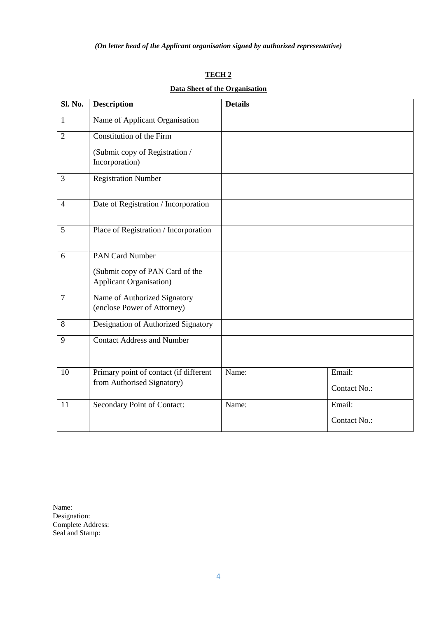# **TECH 2**

# **Data Sheet of the Organisation**

| Sl. No.        | <b>Description</b>                                                 | <b>Details</b> |              |
|----------------|--------------------------------------------------------------------|----------------|--------------|
| $\mathbf{1}$   | Name of Applicant Organisation                                     |                |              |
| $\overline{2}$ | Constitution of the Firm                                           |                |              |
|                | (Submit copy of Registration /<br>Incorporation)                   |                |              |
| 3              | <b>Registration Number</b>                                         |                |              |
| $\overline{4}$ | Date of Registration / Incorporation                               |                |              |
| 5              | Place of Registration / Incorporation                              |                |              |
| 6              | <b>PAN Card Number</b>                                             |                |              |
|                | (Submit copy of PAN Card of the<br><b>Applicant Organisation</b> ) |                |              |
| $\overline{7}$ | Name of Authorized Signatory<br>(enclose Power of Attorney)        |                |              |
| 8              | Designation of Authorized Signatory                                |                |              |
| 9              | <b>Contact Address and Number</b>                                  |                |              |
| 10             | Primary point of contact (if different                             | Name:          | Email:       |
|                | from Authorised Signatory)                                         |                | Contact No.: |
| 11             | Secondary Point of Contact:                                        | Name:          | Email:       |
|                |                                                                    |                | Contact No.: |

Name: Designation: Complete Address: Seal and Stamp: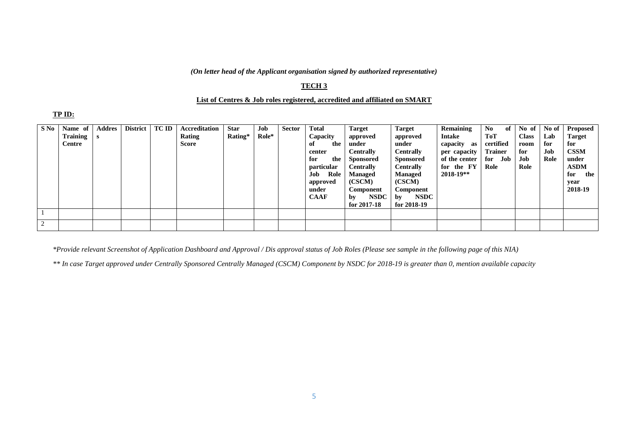## *(On letter head of the Applicant organisation signed by authorized representative)*

## **TECH 3**

## **List of Centres & Job roles registered, accredited and affiliated on SMART**

#### **TP ID:**

| $S$ No | Name of  | <b>Addres</b> | <b>District</b> | <b>TC ID</b> | Accreditation | <b>Star</b> | Job             | <b>Sector</b> | <b>Total</b> | <b>Target</b>     | <b>Target</b>     | Remaining      | No<br>of       | No of 1      | No of | Proposed    |
|--------|----------|---------------|-----------------|--------------|---------------|-------------|-----------------|---------------|--------------|-------------------|-------------------|----------------|----------------|--------------|-------|-------------|
|        | Training |               |                 |              | Rating        | Rating*     | $\text{Role}^*$ |               | Capacity     | approved          | approved          | Intake         | <b>ToT</b>     | <b>Class</b> | Lab   | Target      |
|        | Centre   |               |                 |              | Score         |             |                 |               | the<br>of    | under             | under             | capacity<br>as | certified      | room         | for   | for         |
|        |          |               |                 |              |               |             |                 |               | center       | <b>Centrally</b>  | <b>Centrally</b>  | per capacity   | <b>Trainer</b> | for          | Job   | <b>CSSM</b> |
|        |          |               |                 |              |               |             |                 |               | for<br>the   | <b>Sponsored</b>  | <b>Sponsored</b>  | of the center  | for Job        | Job          | Role  | under       |
|        |          |               |                 |              |               |             |                 |               | particular   | <b>Centrally</b>  | <b>Centrally</b>  | for the FY     | Role           | Role         |       | <b>ASDM</b> |
|        |          |               |                 |              |               |             |                 |               | Role<br>Job  | Managed           | <b>Managed</b>    | $2018 - 19**$  |                |              |       | for<br>the  |
|        |          |               |                 |              |               |             |                 |               | approved     | (CSCM)            | (CSCM)            |                |                |              |       | year        |
|        |          |               |                 |              |               |             |                 |               | under        | Component         | Component         |                |                |              |       | 2018-19     |
|        |          |               |                 |              |               |             |                 |               | <b>CAAF</b>  | <b>NSDC</b><br>by | <b>NSDC</b><br>by |                |                |              |       |             |
|        |          |               |                 |              |               |             |                 |               |              | for $2017-18$     | for 2018-19       |                |                |              |       |             |
|        |          |               |                 |              |               |             |                 |               |              |                   |                   |                |                |              |       |             |
|        |          |               |                 |              |               |             |                 |               |              |                   |                   |                |                |              |       |             |

*\*Provide relevant Screenshot of Application Dashboard and Approval / Dis approval status of Job Roles (Please see sample in the following page of this NIA)*

*\*\* In case Target approved under Centrally Sponsored Centrally Managed (CSCM) Component by NSDC for 2018-19 is greater than 0, mention available capacity*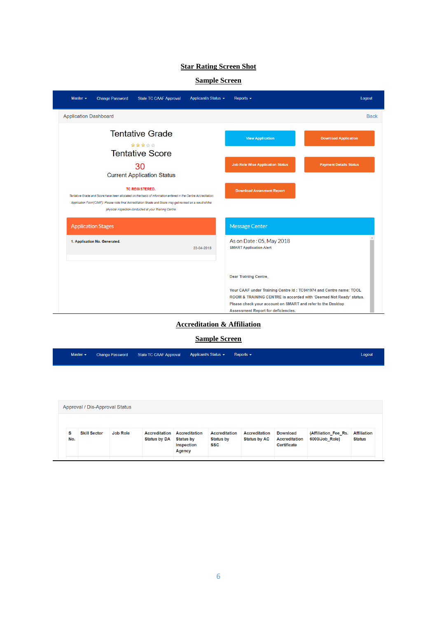# **Star Rating Screen Shot**

# **Sample Screen**

| Master $\sim$<br>Applicant/s Status -<br><b>Change Password</b><br><b>State TC CAAF Approval</b>                                                                                                                                                                                                               | Reports $\sim$<br>Logout                                                                                                                                                                                                                                                       |             |
|----------------------------------------------------------------------------------------------------------------------------------------------------------------------------------------------------------------------------------------------------------------------------------------------------------------|--------------------------------------------------------------------------------------------------------------------------------------------------------------------------------------------------------------------------------------------------------------------------------|-------------|
| <b>Application Dashboard</b>                                                                                                                                                                                                                                                                                   |                                                                                                                                                                                                                                                                                | <b>Back</b> |
| <b>Tentative Grade</b><br>*****                                                                                                                                                                                                                                                                                | <b>View Application</b><br><b>Download Application</b>                                                                                                                                                                                                                         |             |
| <b>Tentative Score</b><br>30<br><b>Current Application Status</b>                                                                                                                                                                                                                                              | <b>Payment Details Status</b><br><b>Job Role Wise Application Status</b>                                                                                                                                                                                                       |             |
| <b>TC REGISTERED.</b><br>Tentative Grade and Score have been allocated on the basis of information entered in the Centre Accreditation<br>Application Form(CAAF). Please note final Accreditation Grade and Score may get revised as a result of the<br>physical inspection conducted at your Training Centre. | <b>Download Assesment Report</b>                                                                                                                                                                                                                                               |             |
| <b>Application Stages</b>                                                                                                                                                                                                                                                                                      | <b>Message Center</b>                                                                                                                                                                                                                                                          |             |
| 1. Application No. Generated.<br>23-04-2018                                                                                                                                                                                                                                                                    | As on Date: 05, May 2018<br><b>SMART Application Alert</b>                                                                                                                                                                                                                     |             |
|                                                                                                                                                                                                                                                                                                                | <b>Dear Training Centre,</b><br>Your CAAF under Training Centre Id: TC041974 and Centre name: TOOL<br>ROOM & TRAINING CENTRE is accorded with 'Deemed Not Ready' status.<br>Please check your account on SMART and refer to the Desktop<br>Assessment Report for deficiencies. |             |

# **Accreditation & Affiliation**

# **Sample Screen**

| Master $\sim$ | Change Password State TC CAAF Approval Applicant/s Status ► Reports ► |  | Logout |
|---------------|-----------------------------------------------------------------------|--|--------|
|               |                                                                       |  |        |

| s   | <b>Skill Sector</b> | Job Role | <b>Accreditation</b> | Accreditation                            | <b>Accreditation</b>           | <b>Accreditation</b> | <b>Download</b>                            | (Affiliation_Fee_Rs. | <b>Affiliation</b> |
|-----|---------------------|----------|----------------------|------------------------------------------|--------------------------------|----------------------|--------------------------------------------|----------------------|--------------------|
| No. |                     |          | <b>Status by DA</b>  | <b>Status by</b><br>Inspection<br>Agency | <b>Status by</b><br><b>SSC</b> | <b>Status by AC</b>  | <b>Accreditation</b><br><b>Certificate</b> | 6000/Job Role)       | <b>Status</b>      |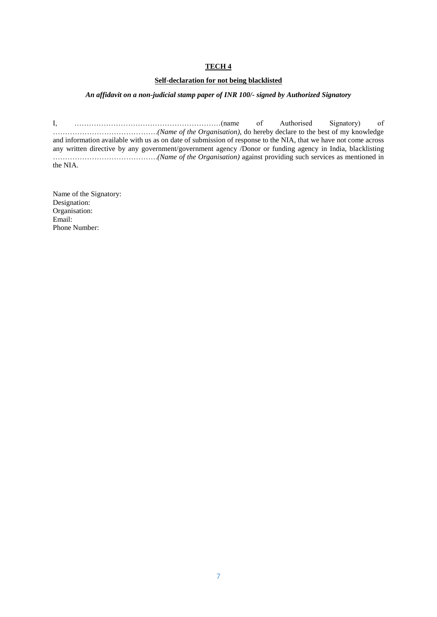## **TECH 4**

### **Self-declaration for not being blacklisted**

## *An affidavit on a non-judicial stamp paper of INR 100/- signed by Authorized Signatory*

I, ……………………………………………………(name of Authorised Signatory) of …………………………………….*(Name of the Organisation)*, do hereby declare to the best of my knowledge and information available with us as on date of submission of response to the NIA, that we have not come across any written directive by any government/government agency /Donor or funding agency in India, blacklisting …………………………………….*(Name of the Organisation)* against providing such services as mentioned in the NIA.

Name of the Signatory: Designation: Organisation: Email: Phone Number: